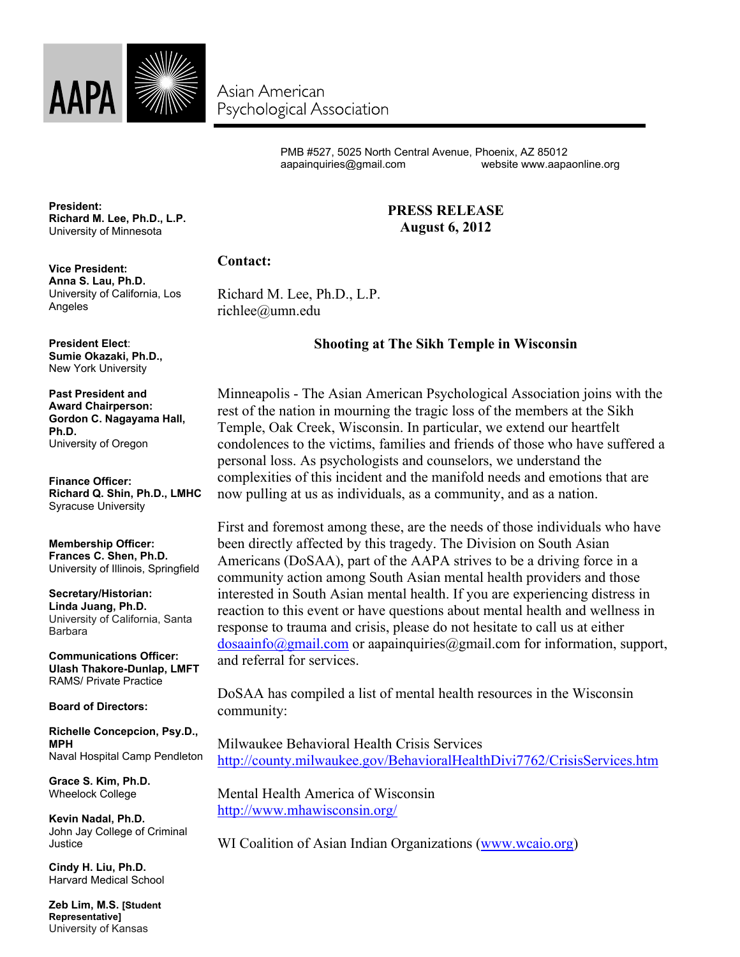

Asian American Psychological Association

> PMB #527, 5025 North Central Avenue, Phoenix, AZ 85012 aapainquiries@gmail.com website www.aapaonline.org

> > **PRESS RELEASE August 6, 2012**

## **President: Richard M. Lee, Ph.D., L.P.** University of Minnesota

## **Contact:**

Richard M. Lee, Ph.D., L.P. richlee@umn.edu

## **Shooting at The Sikh Temple in Wisconsin**

Minneapolis - The Asian American Psychological Association joins with the rest of the nation in mourning the tragic loss of the members at the Sikh Temple, Oak Creek, Wisconsin. In particular, we extend our heartfelt condolences to the victims, families and friends of those who have suffered a personal loss. As psychologists and counselors, we understand the complexities of this incident and the manifold needs and emotions that are now pulling at us as individuals, as a community, and as a nation.

First and foremost among these, are the needs of those individuals who have been directly affected by this tragedy. The Division on South Asian Americans (DoSAA), part of the AAPA strives to be a driving force in a community action among South Asian mental health providers and those interested in South Asian mental health. If you are experiencing distress in reaction to this event or have questions about mental health and wellness in response to trauma and crisis, please do not hesitate to call us at either dosaainfo@gmail.com or aapainquiries@gmail.com for information, support, and referral for services.

DoSAA has compiled a list of mental health resources in the Wisconsin community:

Milwaukee Behavioral Health Crisis Services http://county.milwaukee.gov/BehavioralHealthDivi7762/CrisisServices.htm

Mental Health America of Wisconsin http://www.mhawisconsin.org/

WI Coalition of Asian Indian Organizations (www.wcaio.org)

**Vice President: Anna S. Lau, Ph.D.** University of California, Los Angeles

**President Elect**: **Sumie Okazaki, Ph.D.,** New York University

**Past President and Award Chairperson: Gordon C. Nagayama Hall, Ph.D.** University of Oregon

**Finance Officer: Richard Q. Shin, Ph.D., LMHC** Syracuse University

**Membership Officer: Frances C. Shen, Ph.D.** University of Illinois, Springfield

**Secretary/Historian: Linda Juang, Ph.D.** University of California, Santa Barbara

**Communications Officer: Ulash Thakore-Dunlap, LMFT** RAMS/ Private Practice

**Board of Directors:**

**Richelle Concepcion, Psy.D., MPH** Naval Hospital Camp Pendleton

**Grace S. Kim, Ph.D.** Wheelock College

**Kevin Nadal, Ph.D.** John Jay College of Criminal Justice

**Cindy H. Liu, Ph.D.** Harvard Medical School

**Zeb Lim, M.S. [Student Representative]** University of Kansas